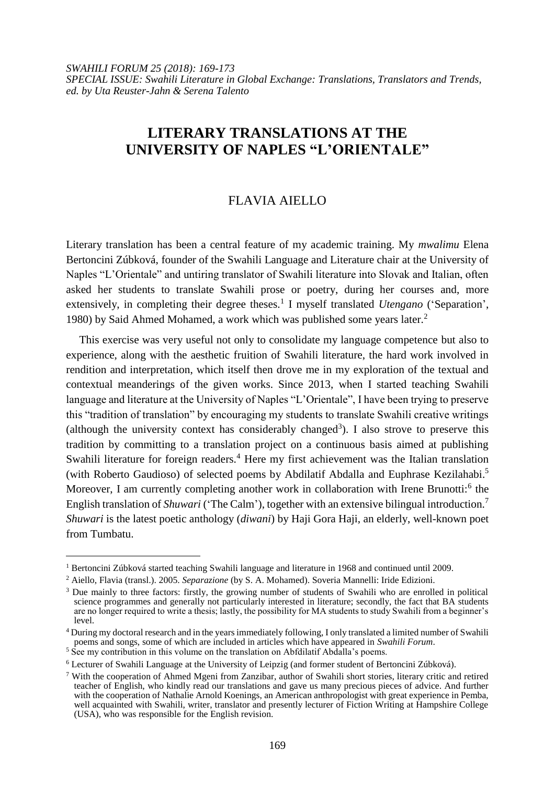# **LITERARY TRANSLATIONS AT THE UNIVERSITY OF NAPLES "L'ORIENTALE"**

# FLAVIA AIELLO

Literary translation has been a central feature of my academic training. My *mwalimu* Elena Bertoncini Zúbková, founder of the Swahili Language and Literature chair at the University of Naples "L'Orientale" and untiring translator of Swahili literature into Slovak and Italian, often asked her students to translate Swahili prose or poetry, during her courses and, more extensively, in completing their degree theses.<sup>1</sup> I myself translated *Utengano* ('Separation', 1980) by Said Ahmed Mohamed, a work which was published some years later.<sup>2</sup>

This exercise was very useful not only to consolidate my language competence but also to experience, along with the aesthetic fruition of Swahili literature, the hard work involved in rendition and interpretation, which itself then drove me in my exploration of the textual and contextual meanderings of the given works. Since 2013, when I started teaching Swahili language and literature at the University of Naples "L'Orientale", I have been trying to preserve this "tradition of translation" by encouraging my students to translate Swahili creative writings (although the university context has considerably changed<sup>3</sup>). I also strove to preserve this tradition by committing to a translation project on a continuous basis aimed at publishing Swahili literature for foreign readers.<sup>4</sup> Here my first achievement was the Italian translation (with Roberto Gaudioso) of selected poems by Abdilatif Abdalla and Euphrase Kezilahabi. 5 Moreover, I am currently completing another work in collaboration with Irene Brunotti:<sup>6</sup> the English translation of *Shuwari* ('The Calm'), together with an extensive bilingual introduction.<sup>7</sup> *Shuwari* is the latest poetic anthology (*diwani*) by Haji Gora Haji, an elderly, well-known poet from Tumbatu.

l

<sup>1</sup> Bertoncini Zúbková started teaching Swahili language and literature in 1968 and continued until 2009.

<sup>2</sup> Aiello, Flavia (transl.). 2005. *Separazione* (by S. A. Mohamed). Soveria Mannelli: Iride Edizioni.

<sup>&</sup>lt;sup>3</sup> Due mainly to three factors: firstly, the growing number of students of Swahili who are enrolled in political science programmes and generally not particularly interested in literature; secondly, the fact that BA students are no longer required to write a thesis; lastly, the possibility for MA students to study Swahili from a beginner's level.

<sup>&</sup>lt;sup>4</sup> During my doctoral research and in the years immediately following, I only translated a limited number of Swahili poems and songs, some of which are included in articles which have appeared in *Swahili Forum*.

<sup>&</sup>lt;sup>5</sup> See my contribution in this volume on the translation on Abfdilatif Abdalla's poems.

<sup>6</sup> Lecturer of Swahili Language at the University of Leipzig (and former student of Bertoncini Zúbková).

<sup>7</sup> With the cooperation of Ahmed Mgeni from Zanzibar, author of Swahili short stories, literary critic and retired teacher of English, who kindly read our translations and gave us many precious pieces of advice. And further with the cooperation of [Nathalie Arnold Koenings,](http://africanarguments.org/author/nathalie-arnold-koenings/) an American anthropologist with great experience in Pemba, well acquainted with Swahili, writer, translator and presently lecturer of Fiction Writing at Hampshire College (USA), who was responsible for the English revision.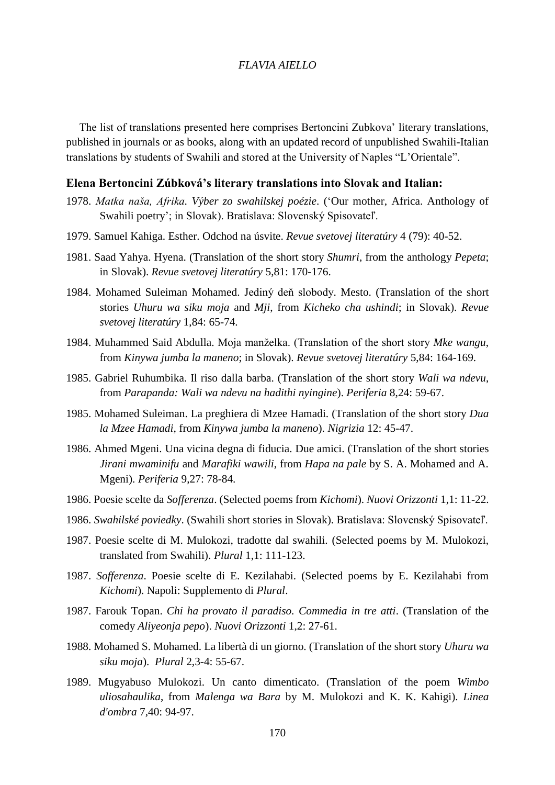### *FLAVIA AIELLO*

The list of translations presented here comprises Bertoncini Zubkova' literary translations, published in journals or as books, along with an updated record of unpublished Swahili-Italian translations by students of Swahili and stored at the University of Naples "L'Orientale".

#### **Elena Bertoncini Zúbková's literary translations into Slovak and Italian:**

- 1978. *Matka naša, Afrika. Výber zo swahilskej poézie*. ('Our mother, Africa. Anthology of Swahili poetry'; in Slovak). Bratislava: Slovenský Spisovateľ.
- 1979. Samuel Kahiga. Esther. Odchod na úsvite. *Revue svetovej literatúry* 4 (79): 40-52.
- 1981. Saad Yahya. Hyena. (Translation of the short story *Shumri*, from the anthology *Pepeta*; in Slovak). *Revue svetovej literatúry* 5,81: 170-176.
- 1984. Mohamed Suleiman Mohamed. Jediný deň slobody. Mesto. (Translation of the short stories *Uhuru wa siku moja* and *Mji*, from *Kicheko cha ushindi*; in Slovak). *Revue svetovej literatúry* 1,84: 65-74.
- 1984. Muhammed Said Abdulla. Moja manželka. (Translation of the short story *Mke wangu*, from *Kinywa jumba la maneno*; in Slovak). *Revue svetovej literatúry* 5,84: 164-169.
- 1985. Gabriel Ruhumbika. Il riso dalla barba. (Translation of the short story *Wali wa ndevu*, from *Parapanda: Wali wa ndevu na hadithi nyingine*). *Periferia* 8,24: 59-67.
- 1985. Mohamed Suleiman. La preghiera di Mzee Hamadi. (Translation of the short story *Dua la Mzee Hamadi*, from *Kinywa jumba la maneno*). *Nigrizia* 12: 45-47.
- 1986. Ahmed Mgeni. Una vicina degna di fiducia. Due amici. (Translation of the short stories *Jirani mwaminifu* and *Marafiki wawili*, from *Hapa na pale* by S. A. Mohamed and A. Mgeni). *Periferia* 9,27: 78-84.
- 1986. Poesie scelte da *Sofferenza*. (Selected poems from *Kichomi*). *Nuovi Orizzonti* 1,1: 11-22.
- 1986. *Swahilské poviedky*. (Swahili short stories in Slovak). Bratislava: Slovenský Spisovateľ.
- 1987. Poesie scelte di M. Mulokozi, tradotte dal swahili. (Selected poems by M. Mulokozi, translated from Swahili). *Plural* 1,1: 111-123.
- 1987. *Sofferenza*. Poesie scelte di E. Kezilahabi. (Selected poems by E. Kezilahabi from *Kichomi*). Napoli: Supplemento di *Plural*.
- 1987. Farouk Topan. *Chi ha provato il paradiso. Commedia in tre atti*. (Translation of the comedy *Aliyeonja pepo*). *Nuovi Orizzonti* 1,2: 27-61.
- 1988. Mohamed S. Mohamed. La libertà di un giorno. (Translation of the short story *Uhuru wa siku moja*). *Plural* 2,3-4: 55-67.
- 1989. Mugyabuso Mulokozi. Un canto dimenticato. (Translation of the poem *Wimbo uliosahaulika*, from *Malenga wa Bara* by M. Mulokozi and K. K. Kahigi). *Linea d'ombra* 7,40: 94-97.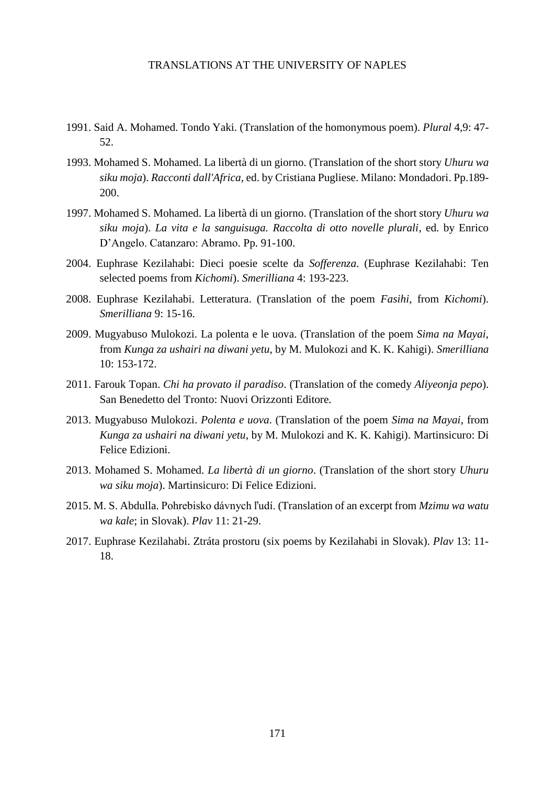#### TRANSLATIONS AT THE UNIVERSITY OF NAPLES

- 1991. Said A. Mohamed. Tondo Yaki. (Translation of the homonymous poem). *Plural* 4,9: 47- 52.
- 1993. Mohamed S. Mohamed. La libertà di un giorno. (Translation of the short story *Uhuru wa siku moja*). *Racconti dall'Africa*, ed. by Cristiana Pugliese. Milano: Mondadori. Pp.189- 200.
- 1997. Mohamed S. Mohamed. La libertà di un giorno. (Translation of the short story *Uhuru wa siku moja*). *La vita e la sanguisuga. Raccolta di otto novelle plurali*, ed. by Enrico D'Angelo. Catanzaro: Abramo. Pp. 91-100.
- 2004. Euphrase Kezilahabi: Dieci poesie scelte da *Sofferenza*. (Euphrase Kezilahabi: Ten selected poems from *Kichomi*). *Smerilliana* 4: 193-223.
- 2008. Euphrase Kezilahabi. Letteratura. (Translation of the poem *Fasihi*, from *Kichomi*). *Smerilliana* 9: 15-16.
- 2009. Mugyabuso Mulokozi. La polenta e le uova. (Translation of the poem *Sima na Mayai*, from *Kunga za ushairi na diwani yetu*, by M. Mulokozi and K. K. Kahigi). *Smerilliana* 10: 153-172.
- 2011. Farouk Topan. *Chi ha provato il paradiso*. (Translation of the comedy *Aliyeonja pepo*). San Benedetto del Tronto: Nuovi Orizzonti Editore.
- 2013. Mugyabuso Mulokozi. *Polenta e uova*. (Translation of the poem *Sima na Mayai*, from *Kunga za ushairi na diwani yetu*, by M. Mulokozi and K. K. Kahigi). Martinsicuro: Di Felice Edizioni.
- 2013. Mohamed S. Mohamed. *La libertà di un giorno*. (Translation of the short story *Uhuru wa siku moja*). Martinsicuro: Di Felice Edizioni.
- 2015. M. S. Abdulla. Pohrebisko dávnych ľudí. (Translation of an excerpt from *Mzimu wa watu wa kale*; in Slovak). *Plav* 11: 21-29.
- 2017. Euphrase Kezilahabi. Ztráta prostoru (six poems by Kezilahabi in Slovak). *Plav* 13: 11- 18.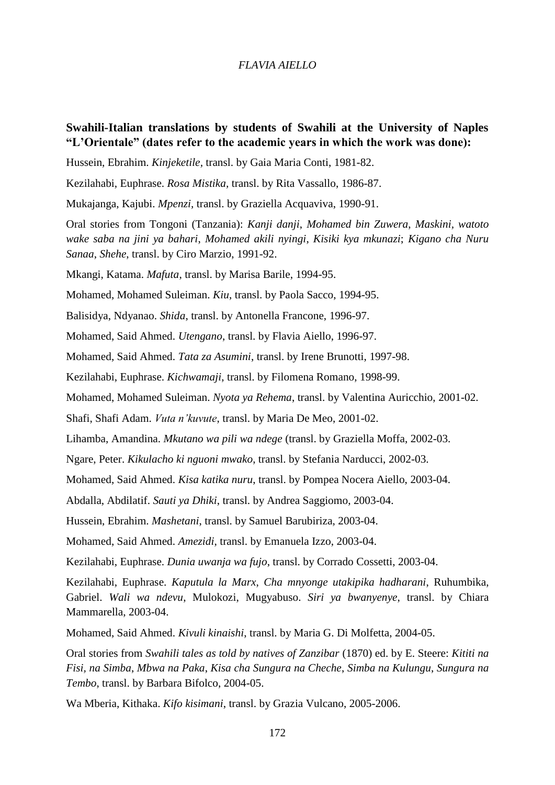### *FLAVIA AIELLO*

## **Swahili-Italian translations by students of Swahili at the University of Naples "L'Orientale" (dates refer to the academic years in which the work was done):**

Hussein, Ebrahim. *Kinjeketile,* transl. by Gaia Maria Conti, 1981-82.

Kezilahabi, Euphrase. *Rosa Mistika,* transl. by Rita Vassallo, 1986-87.

Mukajanga, Kajubi. *Mpenzi,* transl. by Graziella Acquaviva, 1990-91.

Oral stories from Tongoni (Tanzania): *Kanji danji*, *Mohamed bin Zuwera*, *Maskini, watoto wake saba na jini ya bahari*, *Mohamed akili nyingi*, *Kisiki kya mkunazi*; *Kigano cha Nuru Sanaa*, *Shehe*, transl. by Ciro Marzio, 1991-92.

Mkangi, Katama. *Mafuta*, transl. by Marisa Barile, 1994-95.

Mohamed, Mohamed Suleiman. *Kiu*, transl. by Paola Sacco, 1994-95.

Balisidya, Ndyanao. *Shida*, transl. by Antonella Francone, 1996-97.

Mohamed, Said Ahmed. *Utengano*, transl. by Flavia Aiello, 1996-97.

Mohamed, Said Ahmed. *Tata za Asumini*, transl. by Irene Brunotti, 1997-98.

Kezilahabi, Euphrase. *Kichwamaji*, transl. by Filomena Romano, 1998-99.

Mohamed, Mohamed Suleiman. *Nyota ya Rehema*, transl. by Valentina Auricchio, 2001-02.

Shafi, Shafi Adam. *Vuta n'kuvute*, transl. by Maria De Meo, 2001-02.

Lihamba, Amandina. *Mkutano wa pili wa ndege* (transl. by Graziella Moffa, 2002-03.

Ngare, Peter. *Kikulacho ki nguoni mwako*, transl. by Stefania Narducci, 2002-03.

Mohamed, Said Ahmed. *Kisa katika nuru*, transl. by Pompea Nocera Aiello, 2003-04.

Abdalla, Abdilatif. *Sauti ya Dhiki*, transl. by Andrea Saggiomo, 2003-04.

Hussein, Ebrahim. *Mashetani*, transl. by Samuel Barubiriza, 2003-04.

Mohamed, Said Ahmed. *Amezidi*, transl. by Emanuela Izzo, 2003-04.

Kezilahabi, Euphrase. *Dunia uwanja wa fujo*, transl. by Corrado Cossetti, 2003-04.

Kezilahabi, Euphrase. *Kaputula la Marx*, *Cha mnyonge utakipika hadharani*, Ruhumbika, Gabriel. *Wali wa ndevu*, Mulokozi, Mugyabuso. *Siri ya bwanyenye*, transl. by Chiara Mammarella, 2003-04.

Mohamed, Said Ahmed. *Kivuli kinaishi*, transl. by Maria G. Di Molfetta, 2004-05.

Oral stories from *Swahili tales as told by natives of Zanzibar* (1870) ed. by E. Steere: *Kititi na Fisi, na Simba*, *Mbwa na Paka*, *Kisa cha Sungura na Cheche*, *Simba na Kulungu*, *Sungura na Tembo*, transl. by Barbara Bifolco, 2004-05.

Wa Mberia, Kithaka. *Kifo kisimani*, transl. by Grazia Vulcano, 2005-2006.